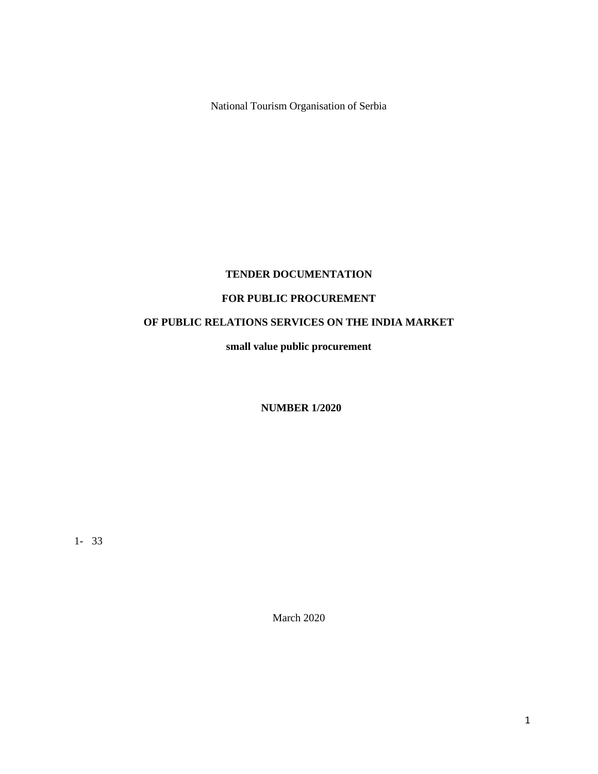National Tourism Organisation of Serbia

# **TENDER DOCUMENTATION**

# **FOR PUBLIC PROCUREMENT**

# **OF PUBLIC RELATIONS SERVICES ON THE INDIA MARKET**

**small value public procurement**

**NUMBER 1/2020**

1- 33

March 2020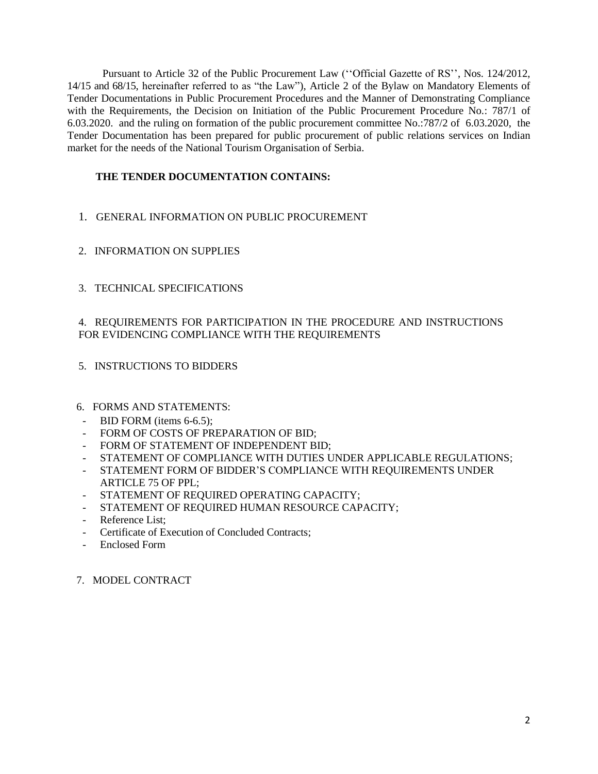Pursuant to Article 32 of the Public Procurement Law (''Official Gazette of RS'', Nos. 124/2012, 14/15 and 68/15, hereinafter referred to as "the Law"), Article 2 of the Bylaw on Mandatory Elements of Tender Documentations in Public Procurement Procedures and the Manner of Demonstrating Compliance with the Requirements, the Decision on Initiation of the Public Procurement Procedure No.: 787/1 of 6.03.2020. and the ruling on formation of the public procurement committee No.:787/2 of 6.03.2020, the Tender Documentation has been prepared for public procurement of public relations services on Indian market for the needs of the National Tourism Organisation of Serbia.

# **THE TENDER DOCUMENTATION CONTAINS:**

- 1. GENERAL INFORMATION ON PUBLIC PROCUREMENT
- 2. INFORMATION ON SUPPLIES
- 3. TECHNICAL SPECIFICATIONS

# 4. REQUIREMENTS FOR PARTICIPATION IN THE PROCEDURE AND INSTRUCTIONS FOR EVIDENCING COMPLIANCE WITH THE REQUIREMENTS

- 5. INSTRUCTIONS TO BIDDERS
- 6. FORMS AND STATEMENTS:
- BID FORM (items 6-6.5);
- FORM OF COSTS OF PREPARATION OF BID;
- FORM OF STATEMENT OF INDEPENDENT BID;
- STATEMENT OF COMPLIANCE WITH DUTIES UNDER APPLICABLE REGULATIONS;
- STATEMENT FORM OF BIDDER'S COMPLIANCE WITH REQUIREMENTS UNDER ARTICLE 75 OF PPL;
- STATEMENT OF REQUIRED OPERATING CAPACITY;
- STATEMENT OF REQUIRED HUMAN RESOURCE CAPACITY;
- Reference List:
- Certificate of Execution of Concluded Contracts;
- Enclosed Form

### 7. MODEL CONTRACT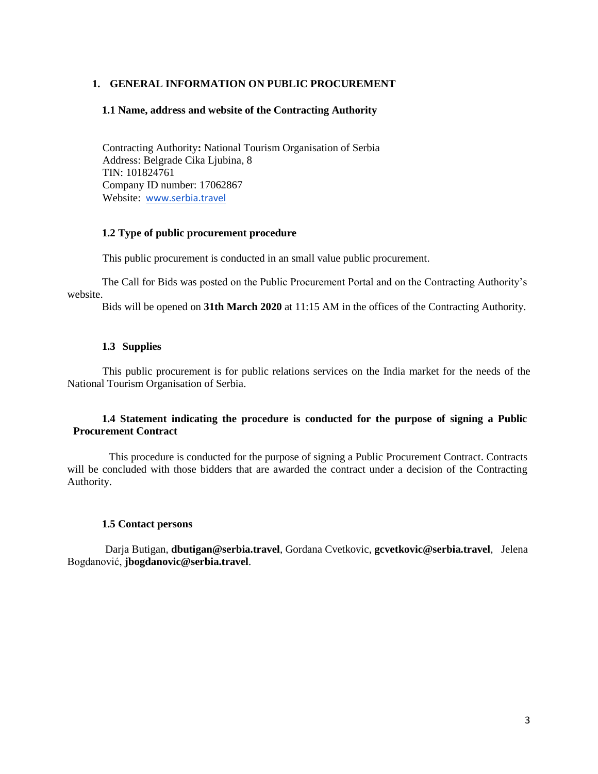# **1. GENERAL INFORMATION ON PUBLIC PROCUREMENT**

### **1.1 Name, address and website of the Contracting Authority**

Contracting Authority**:** National Tourism Organisation of Serbia Address: Belgrade Cika Ljubina, 8 TIN: 101824761 Company ID number: 17062867 Website: [www.serbia.travel](http://www.serbia.travel/about-us/about-us/public-tendering.562.html)

# **1.2 Type of public procurement procedure**

This public procurement is conducted in an small value public procurement.

The Call for Bids was posted on the Public Procurement Portal and on the Contracting Authority's website.

Bids will be opened on **31th March 2020** at 11:15 AM in the offices of the Contracting Authority.

### **1.3 Supplies**

This public procurement is for public relations services on the India market for the needs of the National Tourism Organisation of Serbia.

### **1.4 Statement indicating the procedure is conducted for the purpose of signing a Public Procurement Contract**

This procedure is conducted for the purpose of signing a Public Procurement Contract. Contracts will be concluded with those bidders that are awarded the contract under a decision of the Contracting Authority.

### **1.5 Contact persons**

Darja Butigan, **dbutigan@serbia.travel**, Gordana Cvetkovic, **gcvetkovic@serbia.travel**, Jelena Bogdanović, **jbogdanovic@serbia.travel**.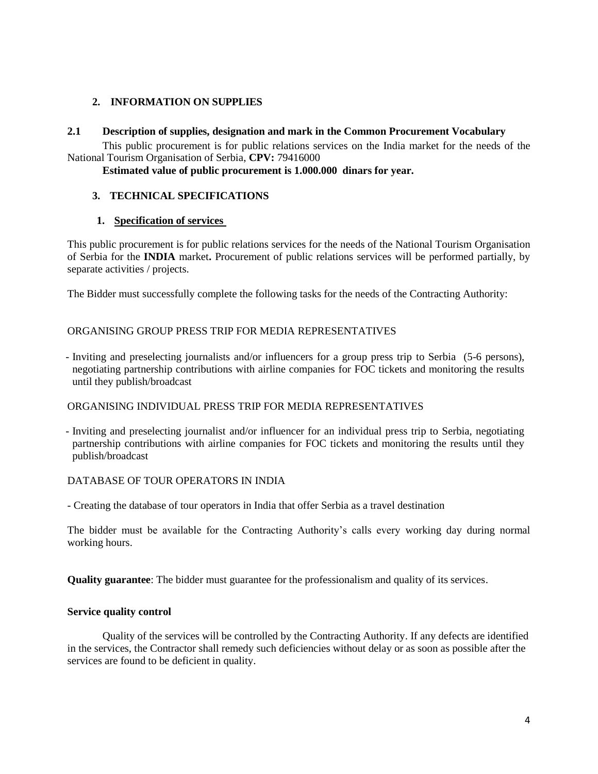# **2. INFORMATION ON SUPPLIES**

### **2.1 Description of supplies, designation and mark in the Common Procurement Vocabulary**

This public procurement is for public relations services on the India market for the needs of the National Tourism Organisation of Serbia, **CPV:** 79416000

**Estimated value of public procurement is 1.000.000 dinars for year.**

# **3. TECHNICAL SPECIFICATIONS**

# **1. Specification of services**

This public procurement is for public relations services for the needs of the National Tourism Organisation of Serbia for the **INDIA** market**.** Procurement of public relations services will be performed partially, by separate activities / projects.

The Bidder must successfully complete the following tasks for the needs of the Contracting Authority:

# ORGANISING GROUP PRESS TRIP FOR MEDIA REPRESENTATIVES

- Inviting and preselecting journalists and/or influencers for a group press trip to Serbia (5-6 persons), negotiating partnership contributions with airline companies for FOC tickets and monitoring the results until they publish/broadcast

### ORGANISING INDIVIDUAL PRESS TRIP FOR MEDIA REPRESENTATIVES

- Inviting and preselecting journalist and/or influencer for an individual press trip to Serbia, negotiating partnership contributions with airline companies for FOC tickets and monitoring the results until they publish/broadcast

### DATABASE OF TOUR OPERATORS IN INDIA

- Creating the database of tour operators in India that offer Serbia as a travel destination

The bidder must be available for the Contracting Authority's calls every working day during normal working hours.

**Quality guarantee**: The bidder must guarantee for the professionalism and quality of its services.

### **Service quality control**

Quality of the services will be controlled by the Contracting Authority. If any defects are identified in the services, the Contractor shall remedy such deficiencies without delay or as soon as possible after the services are found to be deficient in quality.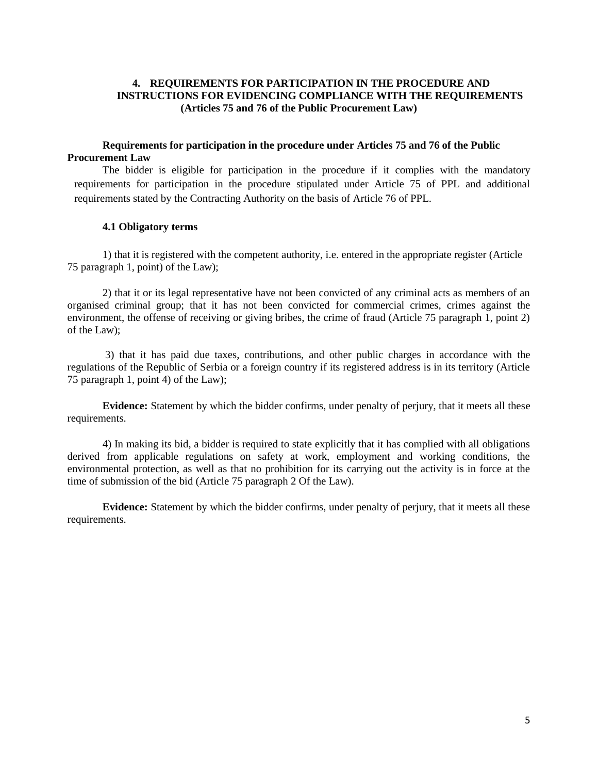# **4. REQUIREMENTS FOR PARTICIPATION IN THE PROCEDURE AND INSTRUCTIONS FOR EVIDENCING COMPLIANCE WITH THE REQUIREMENTS (Articles 75 and 76 of the Public Procurement Law)**

### **Requirements for participation in the procedure under Articles 75 and 76 of the Public Procurement Law**

The bidder is eligible for participation in the procedure if it complies with the mandatory requirements for participation in the procedure stipulated under Article 75 of PPL and additional requirements stated by the Contracting Authority on the basis of Article 76 of PPL.

### **4.1 Obligatory terms**

1) that it is registered with the competent authority, i.e. entered in the appropriate register (Article 75 paragraph 1, point) of the Law);

2) that it or its legal representative have not been convicted of any criminal acts as members of an organised criminal group; that it has not been convicted for commercial crimes, crimes against the environment, the offense of receiving or giving bribes, the crime of fraud (Article 75 paragraph 1, point 2) of the Law);

3) that it has paid due taxes, contributions, and other public charges in accordance with the regulations of the Republic of Serbia or a foreign country if its registered address is in its territory (Article 75 paragraph 1, point 4) of the Law);

**Evidence:** Statement by which the bidder confirms, under penalty of perjury, that it meets all these requirements.

4) In making its bid, a bidder is required to state explicitly that it has complied with all obligations derived from applicable regulations on safety at work, employment and working conditions, the environmental protection, as well as that no prohibition for its carrying out the activity is in force at the time of submission of the bid (Article 75 paragraph 2 Of the Law).

**Evidence:** Statement by which the bidder confirms, under penalty of perjury, that it meets all these requirements.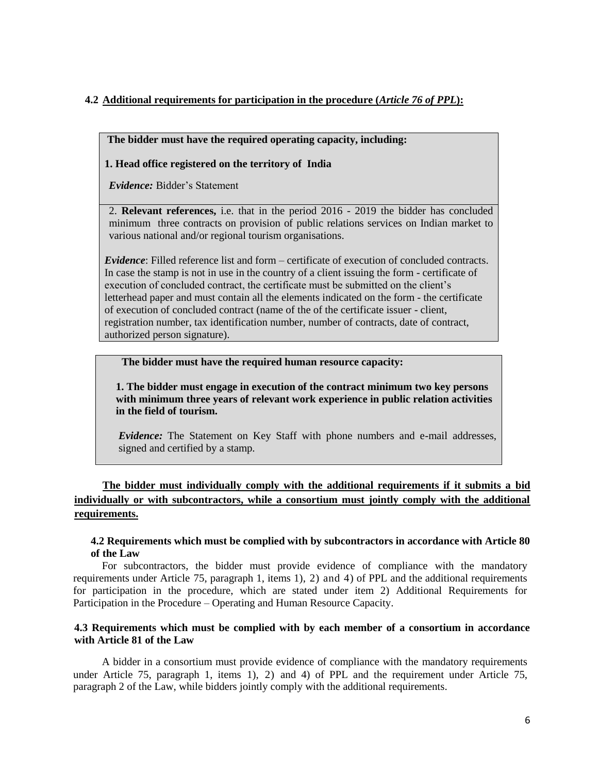# **4.2 Additional requirements for participation in the procedure (***Article 76 of PPL***):**

### **The bidder must have the required operating capacity, including:**

### **1. Head office registered on the territory of India**

*Evidence:* Bidder's Statement

2. **Relevant references,** i.e. that in the period 2016 - 2019 the bidder has concluded minimum three contracts on provision of public relations services on Indian market to various national and/or regional tourism organisations.

*Evidence*: Filled reference list and form – certificate of execution of concluded contracts. In case the stamp is not in use in the country of a client issuing the form - certificate of execution of concluded contract, the certificate must be submitted on the client's letterhead paper and must contain all the elements indicated on the form - the certificate of execution of concluded contract (name of the of the certificate issuer - client, registration number, tax identification number, number of contracts, date of contract, authorized person signature).

### **The bidder must have the required human resource capacity:**

**1. The bidder must engage in execution of the contract minimum two key persons with minimum three years of relevant work experience in public relation activities in the field of tourism.** 

*Evidence:* The Statement on Key Staff with phone numbers and e-mail addresses, signed and certified by a stamp.

# **The bidder must individually comply with the additional requirements if it submits a bid individually or with subcontractors, while a consortium must jointly comply with the additional requirements.**

### **4.2 Requirements which must be complied with by subcontractors in accordance with Article 80 of the Law**

For subcontractors, the bidder must provide evidence of compliance with the mandatory requirements under Article 75, paragraph 1, items 1), 2) and 4) of PPL and the additional requirements for participation in the procedure, which are stated under item 2) Additional Requirements for Participation in the Procedure – Operating and Human Resource Capacity.

### **4.3 Requirements which must be complied with by each member of a consortium in accordance with Article 81 of the Law**

A bidder in a consortium must provide evidence of compliance with the mandatory requirements under Article 75, paragraph 1, items 1), 2) and 4) of PPL and the requirement under Article 75, paragraph 2 of the Law, while bidders jointly comply with the additional requirements.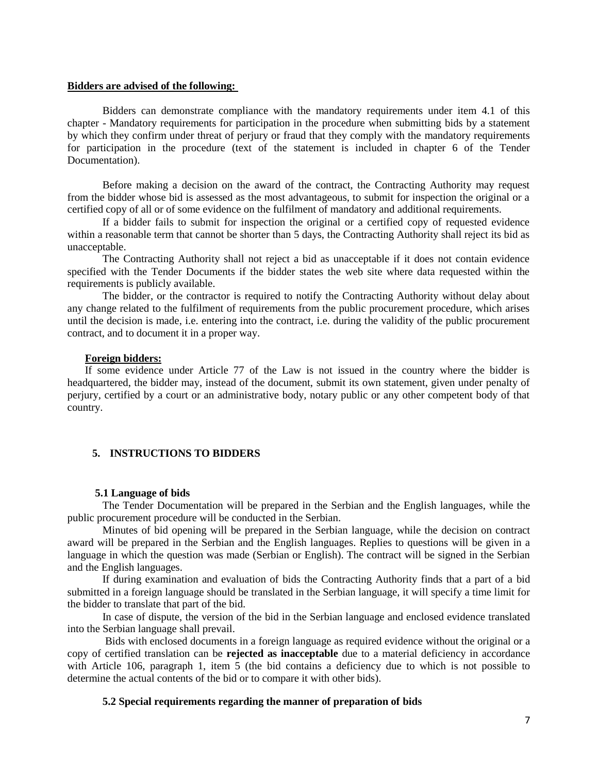#### **Bidders are advised of the following:**

Bidders can demonstrate compliance with the mandatory requirements under item 4.1 of this chapter - Mandatory requirements for participation in the procedure when submitting bids by a statement by which they confirm under threat of perjury or fraud that they comply with the mandatory requirements for participation in the procedure (text of the statement is included in chapter 6 of the Tender Documentation).

Before making a decision on the award of the contract, the Contracting Authority may request from the bidder whose bid is assessed as the most advantageous, to submit for inspection the original or a certified copy of all or of some evidence on the fulfilment of mandatory and additional requirements.

If a bidder fails to submit for inspection the original or a certified copy of requested evidence within a reasonable term that cannot be shorter than 5 days, the Contracting Authority shall reject its bid as unacceptable.

The Contracting Authority shall not reject a bid as unacceptable if it does not contain evidence specified with the Tender Documents if the bidder states the web site where data requested within the requirements is publicly available.

The bidder, or the contractor is required to notify the Contracting Authority without delay about any change related to the fulfilment of requirements from the public procurement procedure, which arises until the decision is made, i.e. entering into the contract, i.e. during the validity of the public procurement contract, and to document it in a proper way.

#### **Foreign bidders:**

If some evidence under Article 77 of the Law is not issued in the country where the bidder is headquartered, the bidder may, instead of the document, submit its own statement, given under penalty of perjury, certified by a court or an administrative body, notary public or any other competent body of that country.

### **5. INSTRUCTIONS TO BIDDERS**

#### **5.1 Language of bids**

The Tender Documentation will be prepared in the Serbian and the English languages, while the public procurement procedure will be conducted in the Serbian.

Minutes of bid opening will be prepared in the Serbian language, while the decision on contract award will be prepared in the Serbian and the English languages. Replies to questions will be given in a language in which the question was made (Serbian or English). The contract will be signed in the Serbian and the English languages.

If during examination and evaluation of bids the Contracting Authority finds that a part of a bid submitted in a foreign language should be translated in the Serbian language, it will specify a time limit for the bidder to translate that part of the bid.

In case of dispute, the version of the bid in the Serbian language and enclosed evidence translated into the Serbian language shall prevail.

Bids with enclosed documents in a foreign language as required evidence without the original or a copy of certified translation can be **rejected as inacceptable** due to a material deficiency in accordance with Article 106, paragraph 1, item 5 (the bid contains a deficiency due to which is not possible to determine the actual contents of the bid or to compare it with other bids).

### **5.2 Special requirements regarding the manner of preparation of bids**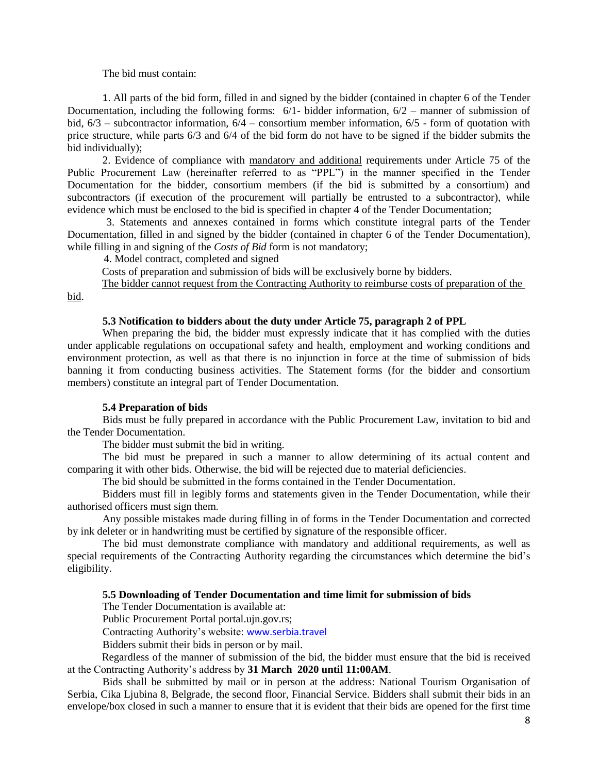The bid must contain:

1. All parts of the bid form, filled in and signed by the bidder (contained in chapter 6 of the Tender Documentation, including the following forms:  $6/1$ - bidder information,  $6/2$  – manner of submission of bid, 6/3 – subcontractor information, 6/4 – consortium member information, 6/5 - form of quotation with price structure, while parts 6/3 and 6/4 of the bid form do not have to be signed if the bidder submits the bid individually);

2. Evidence of compliance with mandatory and additional requirements under Article 75 of the Public Procurement Law (hereinafter referred to as "PPL") in the manner specified in the Tender Documentation for the bidder, consortium members (if the bid is submitted by a consortium) and subcontractors (if execution of the procurement will partially be entrusted to a subcontractor), while evidence which must be enclosed to the bid is specified in chapter 4 of the Tender Documentation;

 3. Statements and annexes contained in forms which constitute integral parts of the Tender Documentation, filled in and signed by the bidder (contained in chapter 6 of the Tender Documentation), while filling in and signing of the *Costs of Bid* form is not mandatory;

4. Model contract, completed and signed

Costs of preparation and submission of bids will be exclusively borne by bidders.

The bidder cannot request from the Contracting Authority to reimburse costs of preparation of the bid.

#### **5.3 Notification to bidders about the duty under Article 75, paragraph 2 of PPL**

When preparing the bid, the bidder must expressly indicate that it has complied with the duties under applicable regulations on occupational safety and health, employment and working conditions and environment protection, as well as that there is no injunction in force at the time of submission of bids banning it from conducting business activities. The Statement forms (for the bidder and consortium members) constitute an integral part of Tender Documentation.

#### **5.4 Preparation of bids**

Bids must be fully prepared in accordance with the Public Procurement Law, invitation to bid and the Tender Documentation.

The bidder must submit the bid in writing.

The bid must be prepared in such a manner to allow determining of its actual content and comparing it with other bids. Otherwise, the bid will be rejected due to material deficiencies.

The bid should be submitted in the forms contained in the Tender Documentation.

Bidders must fill in legibly forms and statements given in the Tender Documentation, while their authorised officers must sign them.

Any possible mistakes made during filling in of forms in the Tender Documentation and corrected by ink deleter or in handwriting must be certified by signature of the responsible officer.

The bid must demonstrate compliance with mandatory and additional requirements, as well as special requirements of the Contracting Authority regarding the circumstances which determine the bid's eligibility.

### **5.5 Downloading of Tender Documentation and time limit for submission of bids**

The Tender Documentation is available at:

Public Procurement Portal portal.ujn.gov.rs;

Contracting Authority's website: [www.serbia.travel](http://www.serbia.travel/)

Bidders submit their bids in person or by mail.

Regardless of the manner of submission of the bid, the bidder must ensure that the bid is received at the Contracting Authority's address by **31 March 2020 until 11:00AM**.

Bids shall be submitted by mail or in person at the address: National Tourism Organisation of Serbia, Cika Ljubina 8, Belgrade, the second floor, Financial Service. Bidders shall submit their bids in an envelope/box closed in such a manner to ensure that it is evident that their bids are opened for the first time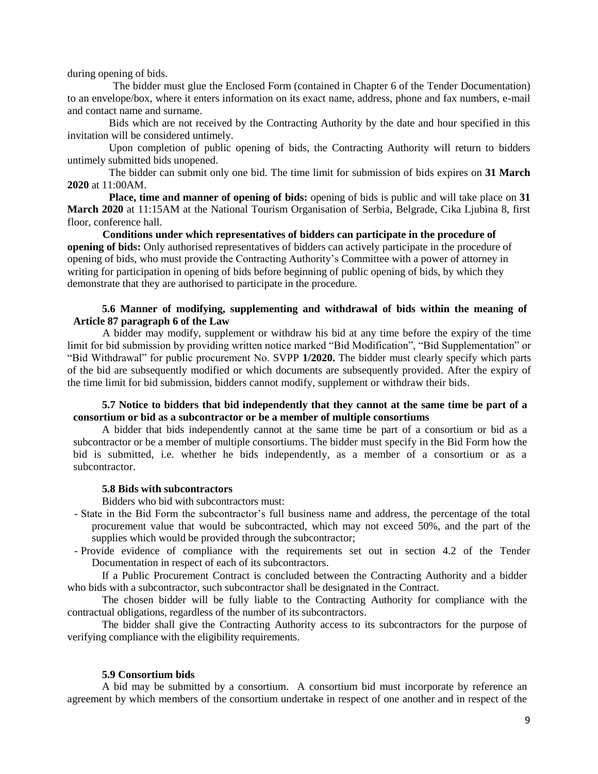during opening of bids.

 The bidder must glue the Enclosed Form (contained in Chapter 6 of the Tender Documentation) to an envelope/box, where it enters information on its exact name, address, phone and fax numbers, e-mail and contact name and surname.

Bids which are not received by the Contracting Authority by the date and hour specified in this invitation will be considered untimely.

Upon completion of public opening of bids, the Contracting Authority will return to bidders untimely submitted bids unopened.

The bidder can submit only one bid. The time limit for submission of bids expires on **31 March 2020** at 11:00AM.

**Place, time and manner of opening of bids:** opening of bids is public and will take place on **31 March 2020** at 11:15AM at the National Tourism Organisation of Serbia, Belgrade, Cika Ljubina 8, first floor, conference hall.

**Conditions under which representatives of bidders can participate in the procedure of opening of bids:** Only authorised representatives of bidders can actively participate in the procedure of opening of bids, who must provide the Contracting Authority's Committee with a power of attorney in writing for participation in opening of bids before beginning of public opening of bids, by which they demonstrate that they are authorised to participate in the procedure.

### **5.6 Manner of modifying, supplementing and withdrawal of bids within the meaning of Article 87 paragraph 6 of the Law**

A bidder may modify, supplement or withdraw his bid at any time before the expiry of the time limit for bid submission by providing written notice marked "Bid Modification", "Bid Supplementation" or "Bid Withdrawal" for public procurement No. SVPP **1/2020.** The bidder must clearly specify which parts of the bid are subsequently modified or which documents are subsequently provided. After the expiry of the time limit for bid submission, bidders cannot modify, supplement or withdraw their bids.

**5.7 Notice to bidders that bid independently that they cannot at the same time be part of a consortium or bid as a subcontractor or be a member of multiple consortiums** 

A bidder that bids independently cannot at the same time be part of a consortium or bid as a subcontractor or be a member of multiple consortiums. The bidder must specify in the Bid Form how the bid is submitted, i.e. whether he bids independently, as a member of a consortium or as a subcontractor.

### **5.8 Bids with subcontractors**

Bidders who bid with subcontractors must:

- State in the Bid Form the subcontractor's full business name and address, the percentage of the total procurement value that would be subcontracted, which may not exceed 50%, and the part of the supplies which would be provided through the subcontractor;
- Provide evidence of compliance with the requirements set out in section 4.2 of the Tender Documentation in respect of each of its subcontractors.

If a Public Procurement Contract is concluded between the Contracting Authority and a bidder who bids with a subcontractor, such subcontractor shall be designated in the Contract.

The chosen bidder will be fully liable to the Contracting Authority for compliance with the contractual obligations, regardless of the number of its subcontractors.

The bidder shall give the Contracting Authority access to its subcontractors for the purpose of verifying compliance with the eligibility requirements.

### **5.9 Consortium bids**

A bid may be submitted by a consortium. A consortium bid must incorporate by reference an agreement by which members of the consortium undertake in respect of one another and in respect of the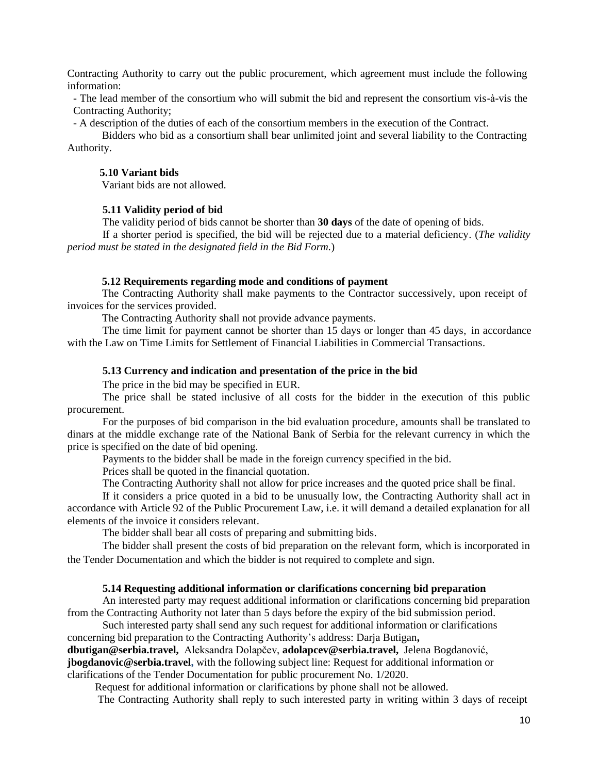Contracting Authority to carry out the public procurement, which agreement must include the following information:

- The lead member of the consortium who will submit the bid and represent the consortium vis-à-vis the Contracting Authority;

- A description of the duties of each of the consortium members in the execution of the Contract.

Bidders who bid as a consortium shall bear unlimited joint and several liability to the Contracting Authority.

### **5.10 Variant bids**

Variant bids are not allowed.

### **5.11 Validity period of bid**

The validity period of bids cannot be shorter than **30 days** of the date of opening of bids.

If a shorter period is specified, the bid will be rejected due to a material deficiency. (*The validity period must be stated in the designated field in the Bid Form.*)

#### **5.12 Requirements regarding mode and conditions of payment**

The Contracting Authority shall make payments to the Contractor successively, upon receipt of invoices for the services provided.

The Contracting Authority shall not provide advance payments.

The time limit for payment cannot be shorter than 15 days or longer than 45 days, in accordance with the Law on Time Limits for Settlement of Financial Liabilities in Commercial Transactions.

### **5.13 Currency and indication and presentation of the price in the bid**

The price in the bid may be specified in EUR.

The price shall be stated inclusive of all costs for the bidder in the execution of this public procurement.

For the purposes of bid comparison in the bid evaluation procedure, amounts shall be translated to dinars at the middle exchange rate of the National Bank of Serbia for the relevant currency in which the price is specified on the date of bid opening.

Payments to the bidder shall be made in the foreign currency specified in the bid.

Prices shall be quoted in the financial quotation.

The Contracting Authority shall not allow for price increases and the quoted price shall be final.

If it considers a price quoted in a bid to be unusually low, the Contracting Authority shall act in accordance with Article 92 of the Public Procurement Law, i.e. it will demand a detailed explanation for all elements of the invoice it considers relevant.

The bidder shall bear all costs of preparing and submitting bids.

The bidder shall present the costs of bid preparation on the relevant form, which is incorporated in the Tender Documentation and which the bidder is not required to complete and sign.

#### **5.14 Requesting additional information or clarifications concerning bid preparation**

An interested party may request additional information or clarifications concerning bid preparation from the Contracting Authority not later than 5 days before the expiry of the bid submission period.

Such interested party shall send any such request for additional information or clarifications concerning bid preparation to the Contracting Authority's address: Darja Butigan**,** 

**dbutigan@serbia.travel,** Aleksandra Dolapčev, **adolapcev@serbia.travel,** Jelena Bogdanović, **jbogdanovic@serbia.travel,** with the following subject line: Request for additional information or clarifications of the Tender Documentation for public procurement No. 1/2020.

Request for additional information or clarifications by phone shall not be allowed.

The Contracting Authority shall reply to such interested party in writing within 3 days of receipt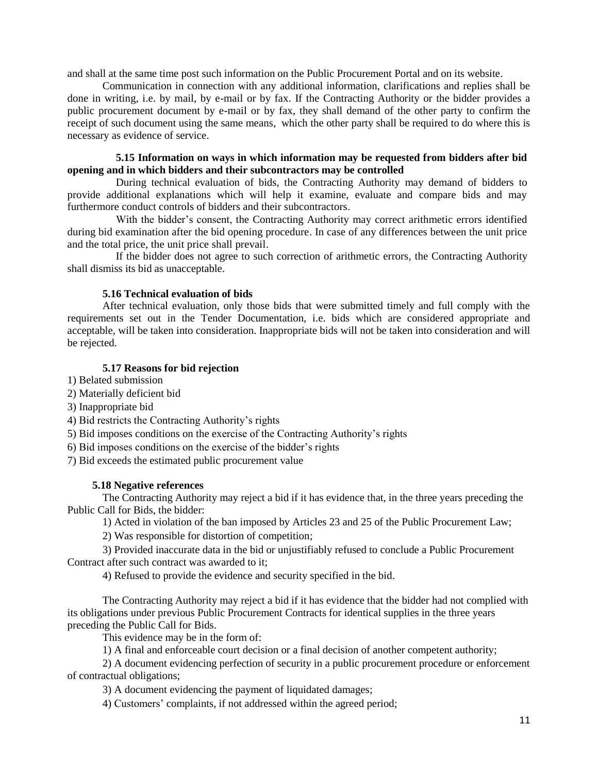and shall at the same time post such information on the Public Procurement Portal and on its website.

Communication in connection with any additional information, clarifications and replies shall be done in writing, i.e. by mail, by e-mail or by fax. If the Contracting Authority or the bidder provides a public procurement document by e-mail or by fax, they shall demand of the other party to confirm the receipt of such document using the same means, which the other party shall be required to do where this is necessary as evidence of service.

### **5.15 Information on ways in which information may be requested from bidders after bid opening and in which bidders and their subcontractors may be controlled**

During technical evaluation of bids, the Contracting Authority may demand of bidders to provide additional explanations which will help it examine, evaluate and compare bids and may furthermore conduct controls of bidders and their subcontractors.

With the bidder's consent, the Contracting Authority may correct arithmetic errors identified during bid examination after the bid opening procedure. In case of any differences between the unit price and the total price, the unit price shall prevail.

If the bidder does not agree to such correction of arithmetic errors, the Contracting Authority shall dismiss its bid as unacceptable.

### **5.16 Technical evaluation of bids**

After technical evaluation, only those bids that were submitted timely and full comply with the requirements set out in the Tender Documentation, i.e. bids which are considered appropriate and acceptable, will be taken into consideration. Inappropriate bids will not be taken into consideration and will be rejected.

### **5.17 Reasons for bid rejection**

- 1) Belated submission
- 2) Materially deficient bid
- 3) Inappropriate bid
- 4) Bid restricts the Contracting Authority's rights
- 5) Bid imposes conditions on the exercise of the Contracting Authority's rights
- 6) Bid imposes conditions on the exercise of the bidder's rights
- 7) Bid exceeds the estimated public procurement value

### **5.18 Negative references**

The Contracting Authority may reject a bid if it has evidence that, in the three years preceding the Public Call for Bids, the bidder:

1) Acted in violation of the ban imposed by Articles 23 and 25 of the Public Procurement Law;

2) Was responsible for distortion of competition;

3) Provided inaccurate data in the bid or unjustifiably refused to conclude a Public Procurement Contract after such contract was awarded to it;

4) Refused to provide the evidence and security specified in the bid.

The Contracting Authority may reject a bid if it has evidence that the bidder had not complied with its obligations under previous Public Procurement Contracts for identical supplies in the three years preceding the Public Call for Bids.

This evidence may be in the form of:

1) A final and enforceable court decision or a final decision of another competent authority;

2) A document evidencing perfection of security in a public procurement procedure or enforcement of contractual obligations;

3) A document evidencing the payment of liquidated damages;

4) Customers' complaints, if not addressed within the agreed period;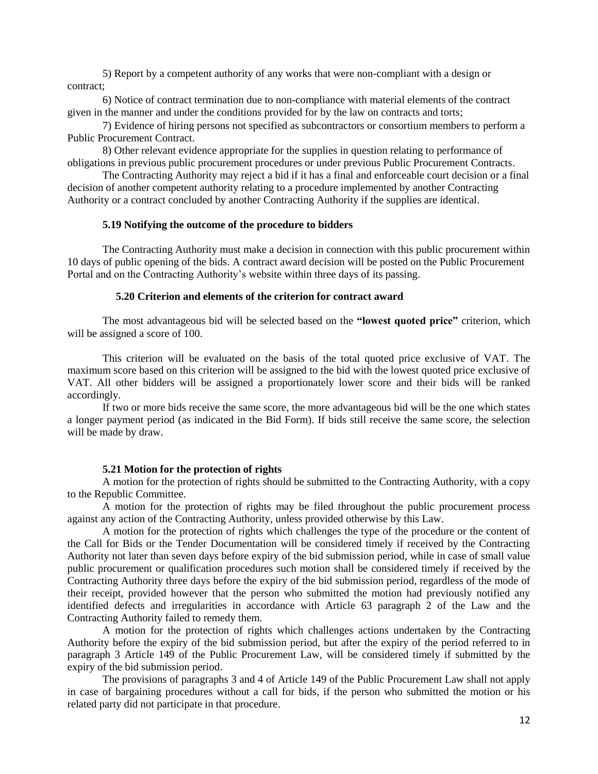5) Report by a competent authority of any works that were non-compliant with a design or contract;

6) Notice of contract termination due to non-compliance with material elements of the contract given in the manner and under the conditions provided for by the law on contracts and torts;

7) Evidence of hiring persons not specified as subcontractors or consortium members to perform a Public Procurement Contract.

8) Other relevant evidence appropriate for the supplies in question relating to performance of obligations in previous public procurement procedures or under previous Public Procurement Contracts.

The Contracting Authority may reject a bid if it has a final and enforceable court decision or a final decision of another competent authority relating to a procedure implemented by another Contracting Authority or a contract concluded by another Contracting Authority if the supplies are identical.

### **5.19 Notifying the outcome of the procedure to bidders**

The Contracting Authority must make a decision in connection with this public procurement within 10 days of public opening of the bids. A contract award decision will be posted on the Public Procurement Portal and on the Contracting Authority's website within three days of its passing.

#### **5.20 Criterion and elements of the criterion for contract award**

The most advantageous bid will be selected based on the **"lowest quoted price"** criterion, which will be assigned a score of 100.

This criterion will be evaluated on the basis of the total quoted price exclusive of VAT. The maximum score based on this criterion will be assigned to the bid with the lowest quoted price exclusive of VAT. All other bidders will be assigned a proportionately lower score and their bids will be ranked accordingly.

If two or more bids receive the same score, the more advantageous bid will be the one which states a longer payment period (as indicated in the Bid Form). If bids still receive the same score, the selection will be made by draw.

#### **5.21 Motion for the protection of rights**

A motion for the protection of rights should be submitted to the Contracting Authority, with a copy to the Republic Committee.

A motion for the protection of rights may be filed throughout the public procurement process against any action of the Contracting Authority, unless provided otherwise by this Law.

A motion for the protection of rights which challenges the type of the procedure or the content of the Call for Bids or the Tender Documentation will be considered timely if received by the Contracting Authority not later than seven days before expiry of the bid submission period, while in case of small value public procurement or qualification procedures such motion shall be considered timely if received by the Contracting Authority three days before the expiry of the bid submission period, regardless of the mode of their receipt, provided however that the person who submitted the motion had previously notified any identified defects and irregularities in accordance with Article 63 paragraph 2 of the Law and the Contracting Authority failed to remedy them.

A motion for the protection of rights which challenges actions undertaken by the Contracting Authority before the expiry of the bid submission period, but after the expiry of the period referred to in paragraph 3 Article 149 of the Public Procurement Law, will be considered timely if submitted by the expiry of the bid submission period.

The provisions of paragraphs 3 and 4 of Article 149 of the Public Procurement Law shall not apply in case of bargaining procedures without a call for bids, if the person who submitted the motion or his related party did not participate in that procedure.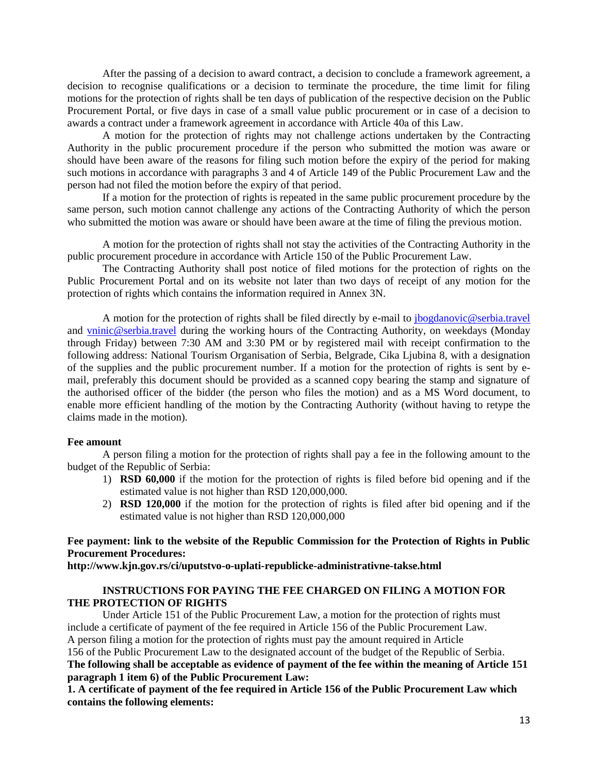After the passing of a decision to award contract, a decision to conclude a framework agreement, a decision to recognise qualifications or a decision to terminate the procedure, the time limit for filing motions for the protection of rights shall be ten days of publication of the respective decision on the Public Procurement Portal, or five days in case of a small value public procurement or in case of a decision to awards a contract under a framework agreement in accordance with Article 40а of this Law.

A motion for the protection of rights may not challenge actions undertaken by the Contracting Authority in the public procurement procedure if the person who submitted the motion was aware or should have been aware of the reasons for filing such motion before the expiry of the period for making such motions in accordance with paragraphs 3 and 4 of Article 149 of the Public Procurement Law and the person had not filed the motion before the expiry of that period.

If a motion for the protection of rights is repeated in the same public procurement procedure by the same person, such motion cannot challenge any actions of the Contracting Authority of which the person who submitted the motion was aware or should have been aware at the time of filing the previous motion.

A motion for the protection of rights shall not stay the activities of the Contracting Authority in the public procurement procedure in accordance with Article 150 of the Public Procurement Law.

The Contracting Authority shall post notice of filed motions for the protection of rights on the Public Procurement Portal and on its website not later than two days of receipt of any motion for the protection of rights which contains the information required in Annex 3N.

A motion for the protection of rights shall be filed directly by e-mail to *jbogdanovic@serbia.travel* and [vninic@serbia.travel](mailto:vninic@serbia.travel) during the working hours of the Contracting Authority, on weekdays (Monday through Friday) between 7:30 AM and 3:30 PM or by registered mail with receipt confirmation to the following address: National Tourism Organisation of Serbia, Belgrade, Cika Ljubina 8, with a designation of the supplies and the public procurement number. If a motion for the protection of rights is sent by email, preferably this document should be provided as a scanned copy bearing the stamp and signature of the authorised officer of the bidder (the person who files the motion) and as a MS Word document, to enable more efficient handling of the motion by the Contracting Authority (without having to retype the claims made in the motion).

#### **Fee amount**

A person filing a motion for the protection of rights shall pay a fee in the following amount to the budget of the Republic of Serbia:

- 1) **RSD 60,000** if the motion for the protection of rights is filed before bid opening and if the estimated value is not higher than RSD 120,000,000.
- 2) **RSD 120,000** if the motion for the protection of rights is filed after bid opening and if the estimated value is not higher than RSD 120,000,000

### **Fee payment: link to the website of the Republic Commission for the Protection of Rights in Public Procurement Procedures:**

**http://www.kjn.gov.rs/ci/uputstvo-o-uplati-republicke-administrativne-takse.html**

### **INSTRUCTIONS FOR PAYING THE FEE CHARGED ON FILING A MOTION FOR THE PROTECTION OF RIGHTS**

Under Article 151 of the Public Procurement Law, a motion for the protection of rights must include a certificate of payment of the fee required in Article 156 of the Public Procurement Law. A person filing a motion for the protection of rights must pay the amount required in Article 156 of the Public Procurement Law to the designated account of the budget of the Republic of Serbia. **The following shall be acceptable as evidence of payment of the fee within the meaning of Article 151 paragraph 1 item 6) of the Public Procurement Law:**

**1. A certificate of payment of the fee required in Article 156 of the Public Procurement Law which contains the following elements:**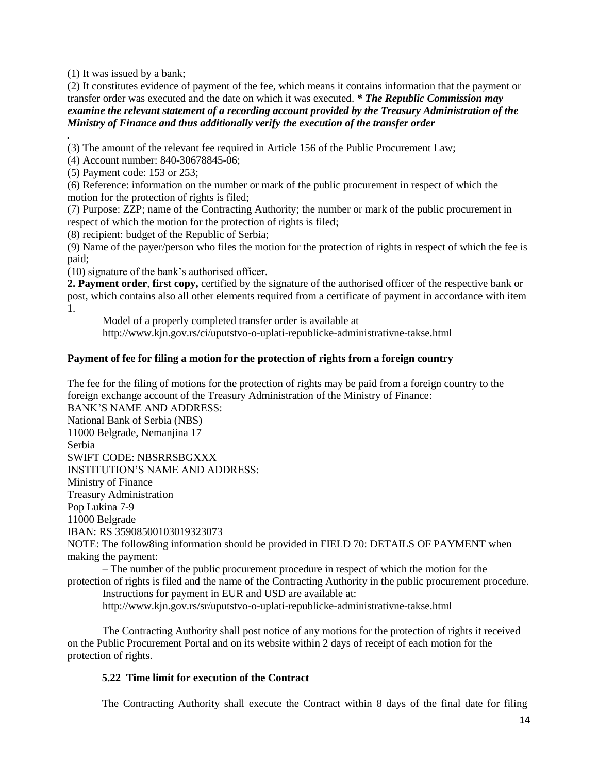(1) It was issued by a bank;

(2) It constitutes evidence of payment of the fee, which means it contains information that the payment or transfer order was executed and the date on which it was executed. *\* The Republic Commission may examine the relevant statement of a recording account provided by the Treasury Administration of the Ministry of Finance and thus additionally verify the execution of the transfer order*

*.* (3) The amount of the relevant fee required in Article 156 of the Public Procurement Law;

(4) Account number: 840-30678845-06;

(5) Payment code: 153 or 253;

(6) Reference: information on the number or mark of the public procurement in respect of which the motion for the protection of rights is filed;

(7) Purpose: ZZP; name of the Contracting Authority; the number or mark of the public procurement in respect of which the motion for the protection of rights is filed;

(8) recipient: budget of the Republic of Serbia;

(9) Name of the payer/person who files the motion for the protection of rights in respect of which the fee is paid;

(10) signature of the bank's authorised officer.

**2. Payment order**, **first copy,** certified by the signature of the authorised officer of the respective bank or post, which contains also all other elements required from a certificate of payment in accordance with item 1.

Model of a properly completed transfer order is available at http://www.kjn.gov.rs/ci/uputstvo-o-uplati-republicke-administrativne-takse.html

# **Payment of fee for filing a motion for the protection of rights from a foreign country**

The fee for the filing of motions for the protection of rights may be paid from a foreign country to the foreign exchange account of the Treasury Administration of the Ministry of Finance:

BANK'S NAME AND ADDRESS: National Bank of Serbia (NBS) 11000 Belgrade, Nemanjina 17 Serbia SWIFT CODE: NBSRRSBGXXX INSTITUTION'S NAME AND ADDRESS: Ministry of Finance Treasury Administration Pop Lukina 7-9 11000 Belgrade IBAN: RS 35908500103019323073 NOTE: The follow8ing information should be provided in FIELD 70: DETAILS OF PAYMENT when

making the payment:

– The number of the public procurement procedure in respect of which the motion for the protection of rights is filed and the name of the Contracting Authority in the public procurement procedure. Instructions for payment in EUR and USD are available at:

http://www.kjn.gov.rs/sr/uputstvo-o-uplati-republicke-administrativne-takse.html

The Contracting Authority shall post notice of any motions for the protection of rights it received on the Public Procurement Portal and on its website within 2 days of receipt of each motion for the protection of rights.

# **5.22 Time limit for execution of the Contract**

The Contracting Authority shall execute the Contract within 8 days of the final date for filing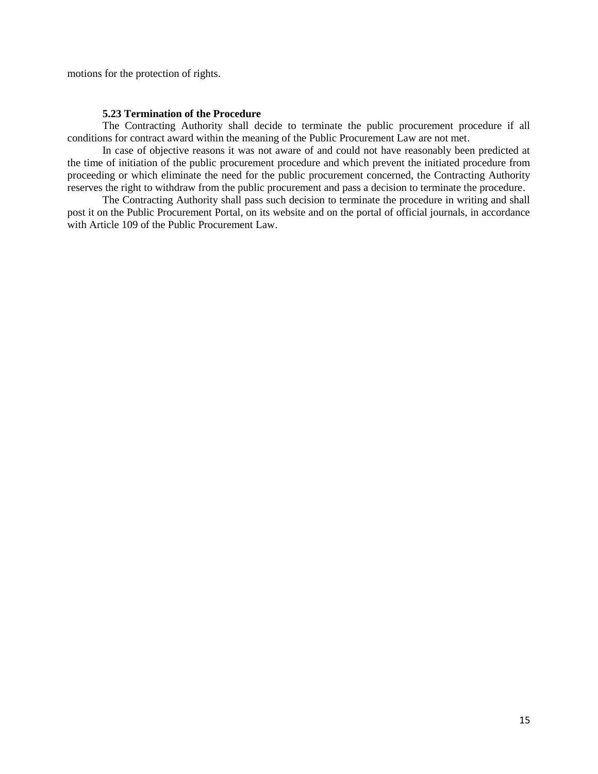motions for the protection of rights.

### **5.23 Termination of the Procedure**

The Contracting Authority shall decide to terminate the public procurement procedure if all conditions for contract award within the meaning of the Public Procurement Law are not met.

In case of objective reasons it was not aware of and could not have reasonably been predicted at the time of initiation of the public procurement procedure and which prevent the initiated procedure from proceeding or which eliminate the need for the public procurement concerned, the Contracting Authority reserves the right to withdraw from the public procurement and pass a decision to terminate the procedure.

The Contracting Authority shall pass such decision to terminate the procedure in writing and shall post it on the Public Procurement Portal, on its website and on the portal of official journals, in accordance with Article 109 of the Public Procurement Law.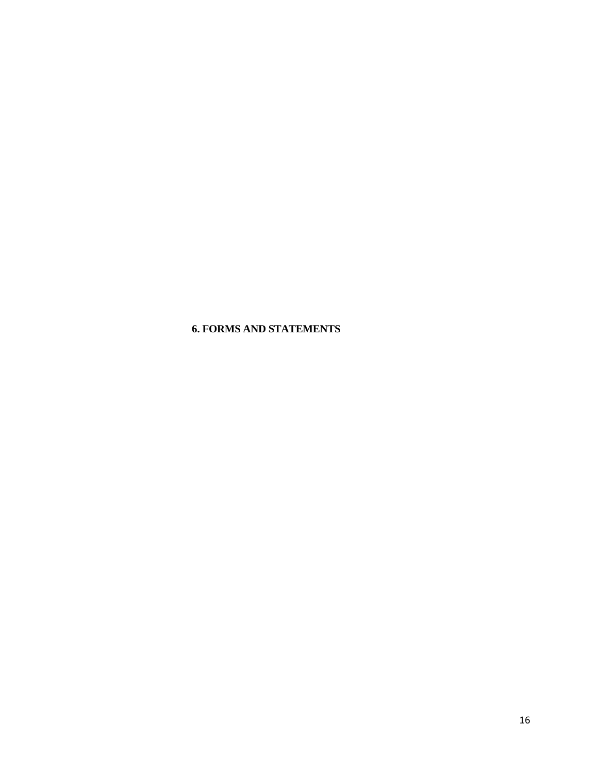# **6. FORMS AND STATEMENTS**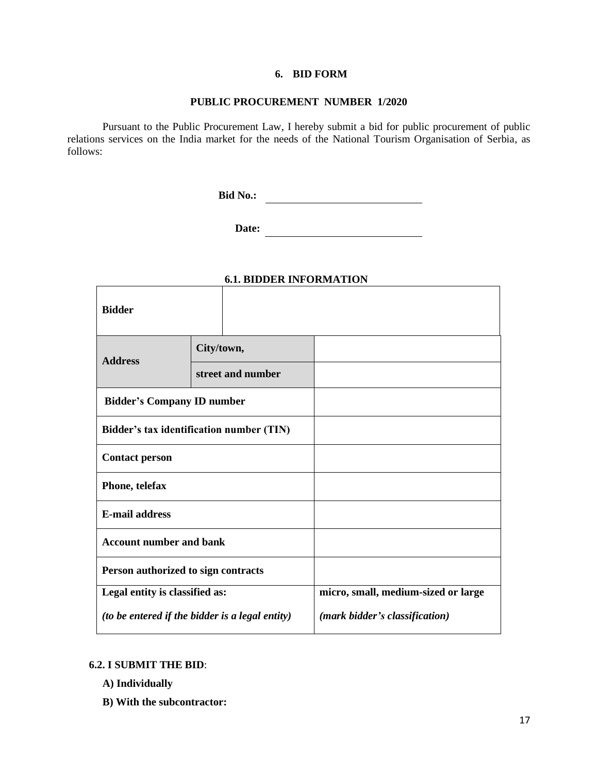### **6. BID FORM**

### **PUBLIC PROCUREMENT NUMBER 1/2020**

Pursuant to the Public Procurement Law, I hereby submit a bid for public procurement of public relations services on the India market for the needs of the National Tourism Organisation of Serbia, as follows:

 **Bid No.:**

**Date:**

|                                                 | 0.1. BIBBER 11 11 ORMA 11 OR |                                     |
|-------------------------------------------------|------------------------------|-------------------------------------|
| <b>Bidder</b>                                   |                              |                                     |
| <b>Address</b>                                  | City/town,                   |                                     |
|                                                 | street and number            |                                     |
| <b>Bidder's Company ID number</b>               |                              |                                     |
| Bidder's tax identification number (TIN)        |                              |                                     |
| <b>Contact person</b>                           |                              |                                     |
| Phone, telefax                                  |                              |                                     |
| <b>E-mail address</b>                           |                              |                                     |
| <b>Account number and bank</b>                  |                              |                                     |
| Person authorized to sign contracts             |                              |                                     |
| Legal entity is classified as:                  |                              | micro, small, medium-sized or large |
| (to be entered if the bidder is a legal entity) |                              | (mark bidder's classification)      |

# **6.1. BIDDER INFORMATION**

# **6.2. I SUBMIT THE BID**:

- **A) Individually**
- **B) With the subcontractor:**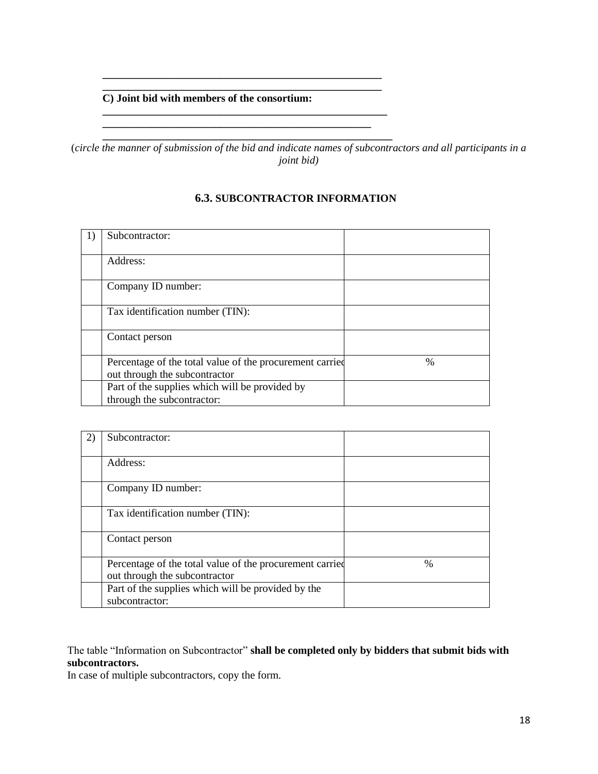# **C) Joint bid with members of the consortium:**

**\_\_\_\_\_\_\_\_\_\_\_\_\_\_\_\_\_\_\_\_\_\_\_\_\_\_\_\_\_\_\_\_\_\_\_\_\_\_\_\_\_\_\_\_\_\_\_\_\_\_\_\_ \_\_\_\_\_\_\_\_\_\_\_\_\_\_\_\_\_\_\_\_\_\_\_\_\_\_\_\_\_\_\_\_\_\_\_\_\_\_\_\_\_\_\_\_\_\_\_\_\_\_\_\_**

**\_\_\_\_\_\_\_\_\_\_\_\_\_\_\_\_\_\_\_\_\_\_\_\_\_\_\_\_\_\_\_\_\_\_\_\_\_\_\_\_\_\_\_\_\_\_\_\_\_\_\_\_\_ \_\_\_\_\_\_\_\_\_\_\_\_\_\_\_\_\_\_\_\_\_\_\_\_\_\_\_\_\_\_\_\_\_\_\_\_\_\_\_\_\_\_\_\_\_\_\_\_\_\_**

**\_\_\_\_\_\_\_\_\_\_\_\_\_\_\_\_\_\_\_\_\_\_\_\_\_\_\_\_\_\_\_\_\_\_\_\_\_\_\_\_\_\_\_\_\_\_\_\_\_\_\_\_\_\_** (*circle the manner of submission of the bid and indicate names of subcontractors and all participants in a joint bid)*

**6.3. SUBCONTRACTOR INFORMATION**

# 1) Subcontractor: Address: Company ID number: Tax identification number (TIN): Contact person Percentage of the total value of the procurement carried out through the subcontractor % Part of the supplies which will be provided by through the subcontractor:

| Subcontractor:                                                                            |      |
|-------------------------------------------------------------------------------------------|------|
| Address:                                                                                  |      |
| Company ID number:                                                                        |      |
| Tax identification number (TIN):                                                          |      |
| Contact person                                                                            |      |
| Percentage of the total value of the procurement carried<br>out through the subcontractor | $\%$ |
| Part of the supplies which will be provided by the<br>subcontractor:                      |      |

# The table "Information on Subcontractor" **shall be completed only by bidders that submit bids with subcontractors.**

In case of multiple subcontractors, copy the form.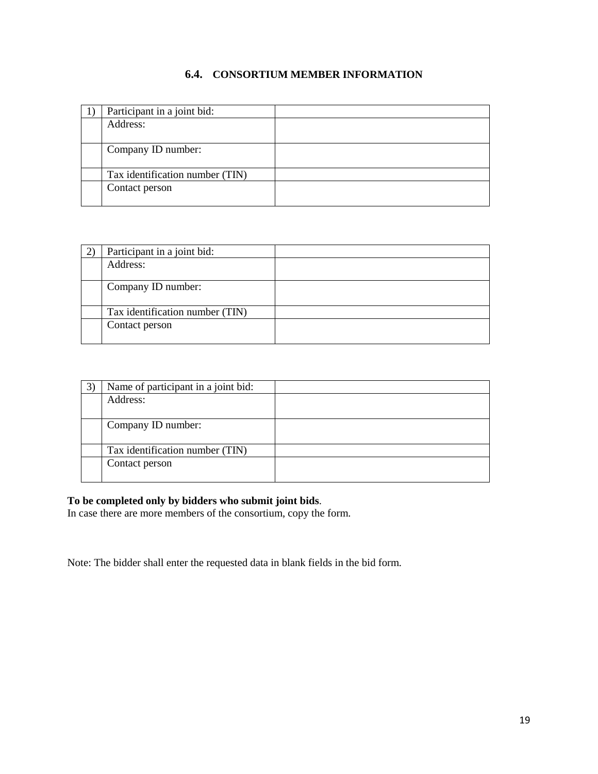# **6.4. CONSORTIUM MEMBER INFORMATION**

| Participant in a joint bid:     |  |
|---------------------------------|--|
| Address:                        |  |
|                                 |  |
| Company ID number:              |  |
|                                 |  |
| Tax identification number (TIN) |  |
| Contact person                  |  |
|                                 |  |

| Participant in a joint bid:     |  |
|---------------------------------|--|
| Address:                        |  |
|                                 |  |
| Company ID number:              |  |
|                                 |  |
| Tax identification number (TIN) |  |
| Contact person                  |  |
|                                 |  |

| Name of participant in a joint bid: |  |
|-------------------------------------|--|
| Address:                            |  |
|                                     |  |
| Company ID number:                  |  |
|                                     |  |
| Tax identification number (TIN)     |  |
| Contact person                      |  |
|                                     |  |

# **To be completed only by bidders who submit joint bids**.

In case there are more members of the consortium, copy the form.

Note: The bidder shall enter the requested data in blank fields in the bid form.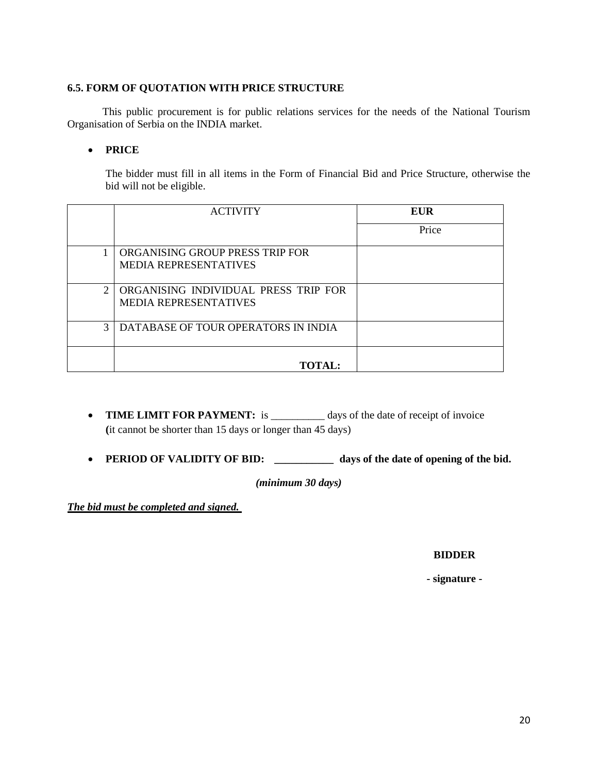# **6.5. FORM OF QUOTATION WITH PRICE STRUCTURE**

This public procurement is for public relations services for the needs of the National Tourism Organisation of Serbia on the INDIA market.

# **PRICE**

The bidder must fill in all items in the Form of Financial Bid and Price Structure, otherwise the bid will not be eligible.

|                             | <b>ACTIVITY</b>                                                      | EUR   |
|-----------------------------|----------------------------------------------------------------------|-------|
|                             |                                                                      | Price |
|                             | ORGANISING GROUP PRESS TRIP FOR<br><b>MEDIA REPRESENTATIVES</b>      |       |
| $\mathcal{D}_{\mathcal{L}}$ | ORGANISING INDIVIDUAL PRESS TRIP FOR<br><b>MEDIA REPRESENTATIVES</b> |       |
| 3                           | DATABASE OF TOUR OPERATORS IN INDIA                                  |       |
|                             | <b>TOTAL:</b>                                                        |       |

- **TIME LIMIT FOR PAYMENT:** is \_\_\_\_\_\_\_\_\_ days of the date of receipt of invoice **(**it cannot be shorter than 15 days or longer than 45 days)
- **PERIOD OF VALIDITY OF BID:** *\_\_\_\_\_\_\_\_\_\_\_* **days of the date of opening of the bid.**

*(minimum 30 days)*

*The bid must be completed and signed.* 

# **BIDDER**

**- signature -**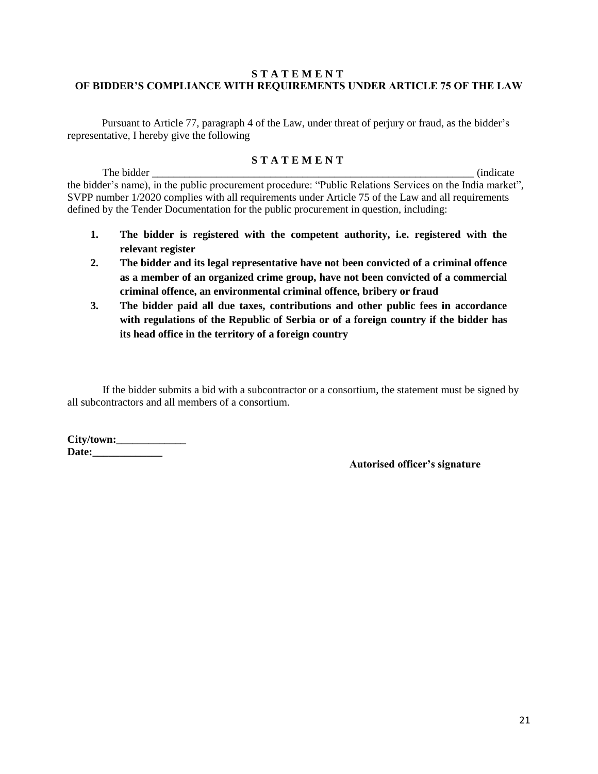# **S T A T E M E N T OF BIDDER'S COMPLIANCE WITH REQUIREMENTS UNDER ARTICLE 75 OF THE LAW**

Pursuant to Article 77, paragraph 4 of the Law, under threat of perjury or fraud, as the bidder's representative, I hereby give the following

# **S T A T E M E N T**

The bidder (indicate  $\blacksquare$ ) the bidder's name), in the public procurement procedure: "Public Relations Services on the India market", SVPP number 1/2020 complies with all requirements under Article 75 of the Law and all requirements defined by the Tender Documentation for the public procurement in question, including:

- **1. The bidder is registered with the competent authority, i.e. registered with the relevant register**
- **2. The bidder and its legal representative have not been convicted of a criminal offence as a member of an organized crime group, have not been convicted of a commercial criminal offence, an environmental criminal offence, bribery or fraud**
- **3. The bidder paid all due taxes, contributions and other public fees in accordance with regulations of the Republic of Serbia or of a foreign country if the bidder has its head office in the territory of a foreign country**

If the bidder submits a bid with a subcontractor or a consortium, the statement must be signed by all subcontractors and all members of a consortium.

**City/town:\_\_\_\_\_\_\_\_\_\_\_\_\_ Date:\_\_\_\_\_\_\_\_\_\_\_\_\_**

**Autorised officer's signature**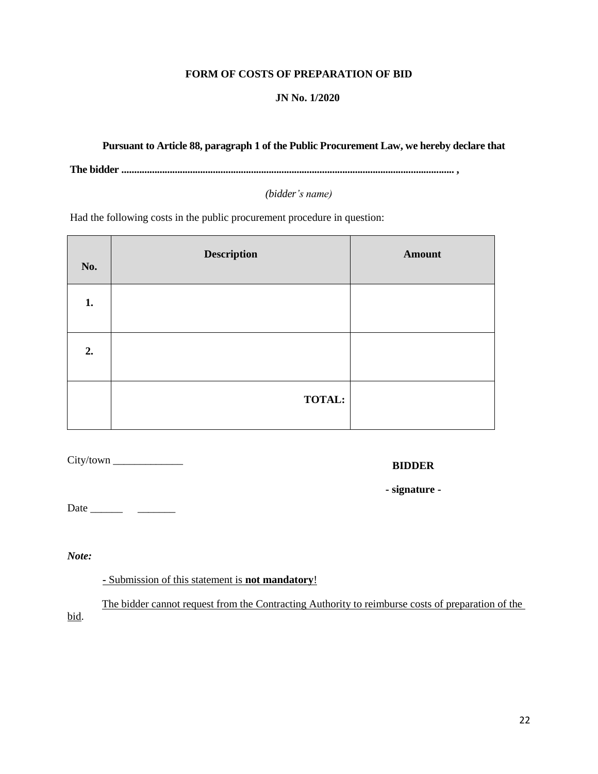### **FORM OF COSTS OF PREPARATION OF BID**

### **JN No. 1/2020**

# **Pursuant to Article 88, paragraph 1 of the Public Procurement Law, we hereby declare that**

**The bidder ................................................................................................................................... ,**

*(bidder's name)*

Had the following costs in the public procurement procedure in question:

| No. | <b>Description</b> | <b>Amount</b> |
|-----|--------------------|---------------|
| 1.  |                    |               |
| 2.  |                    |               |
|     | <b>TOTAL:</b>      |               |

City/town \_\_\_\_\_\_\_\_\_\_\_\_\_

**BIDDER**

**- signature -**

Date \_\_\_\_\_\_ \_\_\_\_\_\_\_

*Note:*

**-** Submission of this statement is **not mandatory**!

The bidder cannot request from the Contracting Authority to reimburse costs of preparation of the bid.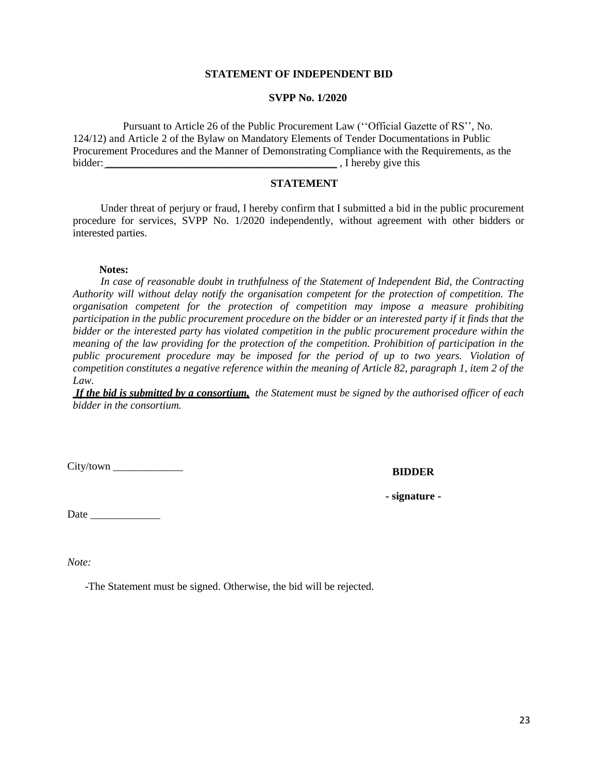### **STATEMENT OF INDEPENDENT BID**

### **SVPP No. 1/2020**

Pursuant to Article 26 of the Public Procurement Law (''Official Gazette of RS'', No. 124/12) and Article 2 of the Bylaw on Mandatory Elements of Tender Documentations in Public Procurement Procedures and the Manner of Demonstrating Compliance with the Requirements, as the bidder:  $\blacksquare$  , I hereby give this

# **STATEMENT**

Under threat of perjury or fraud, I hereby confirm that I submitted a bid in the public procurement procedure for services, SVPP No. 1/2020 independently, without agreement with other bidders or interested parties.

#### **Notes:**

*In case of reasonable doubt in truthfulness of the Statement of Independent Bid, the Contracting Authority will without delay notify the organisation competent for the protection of competition. The organisation competent for the protection of competition may impose a measure prohibiting participation in the public procurement procedure on the bidder or an interested party if it finds that the bidder or the interested party has violated competition in the public procurement procedure within the meaning of the law providing for the protection of the competition. Prohibition of participation in the public procurement procedure may be imposed for the period of up to two years. Violation of competition constitutes a negative reference within the meaning of Article 82, paragraph 1, item 2 of the Law.*

*If the bid is submitted by a consortium, the Statement must be signed by the authorised officer of each bidder in the consortium.*

City/town \_\_\_\_\_\_\_\_\_\_\_\_\_

**BIDDER**

**- signature -**

Date \_\_\_\_\_\_\_\_\_\_\_\_\_

*Note:*

-The Statement must be signed. Otherwise, the bid will be rejected.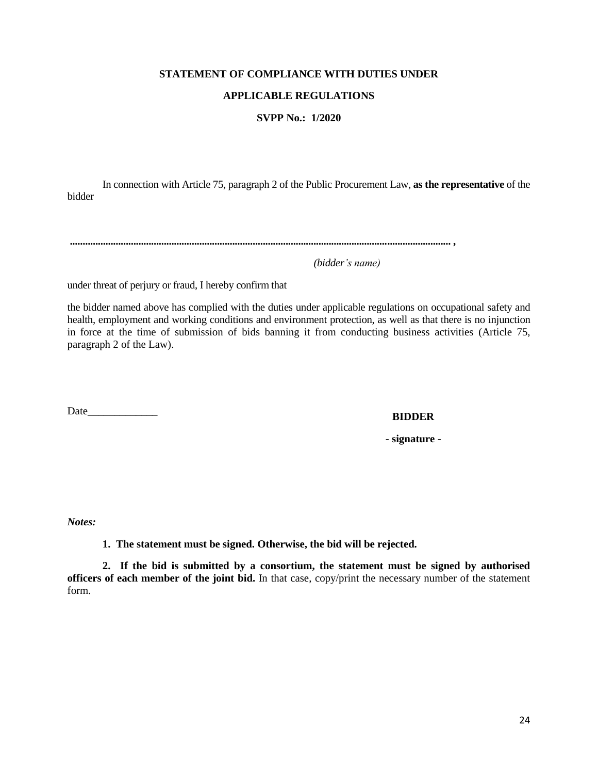### **STATEMENT OF COMPLIANCE WITH DUTIES UNDER**

# **APPLICABLE REGULATIONS**

# **SVPP No.: 1/2020**

In connection with Article 75, paragraph 2 of the Public Procurement Law, **as the representative** of the bidder

**...................................................................................................................................................... ,**

 *(bidder's name)* 

under threat of perjury or fraud, I hereby confirm that

the bidder named above has complied with the duties under applicable regulations on occupational safety and health, employment and working conditions and environment protection, as well as that there is no injunction in force at the time of submission of bids banning it from conducting business activities (Article 75, paragraph 2 of the Law).

Date\_\_\_\_\_\_\_\_\_\_\_\_\_

### **BIDDER**

**- signature -**

*Notes:*

**1. The statement must be signed. Otherwise, the bid will be rejected.**

**2. If the bid is submitted by a consortium, the statement must be signed by authorised officers of each member of the joint bid.** In that case, copy/print the necessary number of the statement form.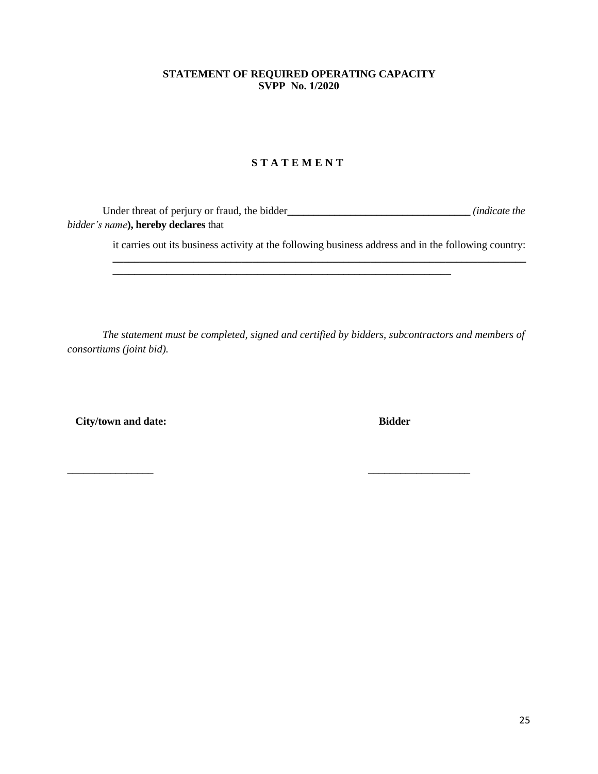# **STATEMENT OF REQUIRED OPERATING CAPACITY SVPP No. 1/2020**

# **S T A T E M E N T**

Under threat of perjury or fraud, the bidder *<i>(indicate the ) bidder's name***), hereby declares** that

**\_\_\_\_\_\_\_\_\_\_\_\_\_\_\_\_\_\_\_\_\_\_\_\_\_\_\_\_\_\_\_\_\_\_\_\_\_\_\_\_\_\_\_\_\_\_\_\_\_\_\_\_\_\_\_\_\_\_\_\_\_\_\_**

it carries out its business activity at the following business address and in the following country: **\_\_\_\_\_\_\_\_\_\_\_\_\_\_\_\_\_\_\_\_\_\_\_\_\_\_\_\_\_\_\_\_\_\_\_\_\_\_\_\_\_\_\_\_\_\_\_\_\_\_\_\_\_\_\_\_\_\_\_\_\_\_\_\_\_\_\_\_\_\_\_\_\_\_\_\_\_**

*The statement must be completed, signed and certified by bidders, subcontractors and members of consortiums (joint bid).*

 **City/town and date: Bidder**

**\_\_\_\_\_\_\_\_\_\_\_\_\_\_\_\_ \_\_\_\_\_\_\_\_\_\_\_\_\_\_\_\_\_\_\_**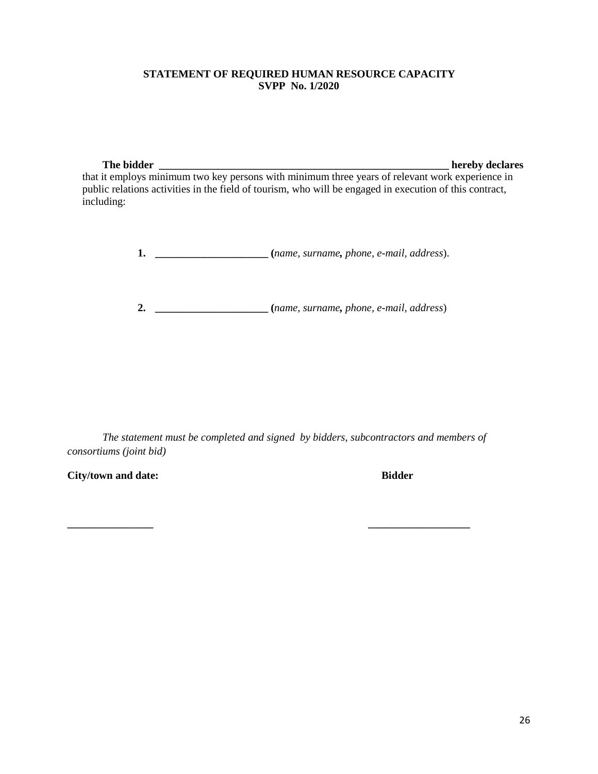# **STATEMENT OF REQUIRED HUMAN RESOURCE CAPACITY SVPP No. 1/2020**

**The bidder \_\_\_\_\_\_\_\_\_\_\_\_\_\_\_\_\_\_\_\_\_\_\_\_\_\_\_\_\_\_\_\_\_\_\_\_\_\_\_\_\_\_\_\_\_\_\_\_\_\_\_\_\_\_ hereby declares** 

that it employs minimum two key persons with minimum three years of relevant work experience in public relations activities in the field of tourism, who will be engaged in execution of this contract, including:

**1. \_\_\_\_\_\_\_\_\_\_\_\_\_\_\_\_\_\_\_\_\_ (***name, surname, phone, e-mail, address*).

**2. \_\_\_\_\_\_\_\_\_\_\_\_\_\_\_\_\_\_\_\_\_ (***name, surname, phone, e-mail, address*)

*The statement must be completed and signed by bidders, subcontractors and members of consortiums (joint bid)*

**\_\_\_\_\_\_\_\_\_\_\_\_\_\_\_\_ \_\_\_\_\_\_\_\_\_\_\_\_\_\_\_\_\_\_\_**

**City/town and date: Bidder**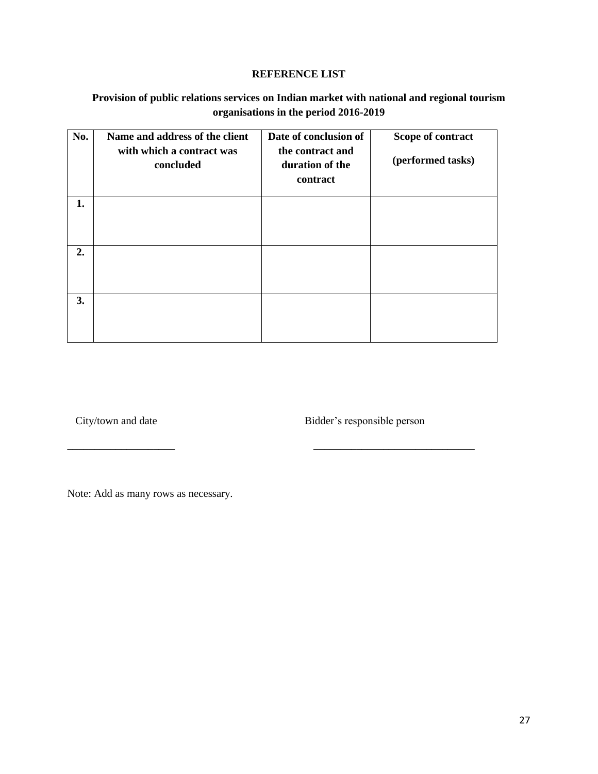### **REFERENCE LIST**

# **Provision of public relations services on Indian market with national and regional tourism organisations in the period 2016-2019**

| No. | Name and address of the client<br>with which a contract was<br>concluded | Date of conclusion of<br>the contract and<br>duration of the<br>contract | Scope of contract<br>(performed tasks) |
|-----|--------------------------------------------------------------------------|--------------------------------------------------------------------------|----------------------------------------|
| 1.  |                                                                          |                                                                          |                                        |
| 2.  |                                                                          |                                                                          |                                        |
| 3.  |                                                                          |                                                                          |                                        |

**\_\_\_\_\_\_\_\_\_\_\_\_\_\_\_\_\_\_\_\_ \_\_\_\_\_\_\_\_\_\_\_\_\_\_\_\_\_\_\_\_\_\_\_\_\_\_\_\_\_\_**

City/town and date Bidder's responsible person

Note: Add as many rows as necessary.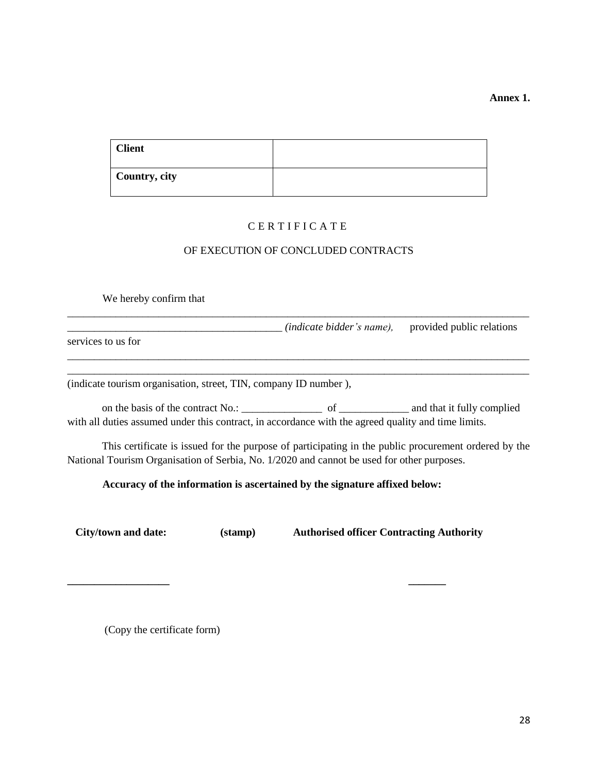**Annex 1.**

| <b>Client</b> |  |
|---------------|--|
| Country, city |  |

# C E R T I F I C A T E

# OF EXECUTION OF CONCLUDED CONTRACTS

We hereby confirm that \_\_\_\_\_\_\_\_\_\_\_\_\_\_\_\_\_\_\_\_\_\_\_\_\_\_\_\_\_\_\_\_\_\_\_\_\_\_\_\_\_\_\_\_\_\_\_\_\_\_\_\_\_\_\_\_\_\_\_\_\_\_\_\_\_\_\_\_\_\_\_\_\_\_\_\_\_\_\_\_\_\_\_\_\_\_ \_\_\_\_\_\_\_\_\_\_\_\_\_\_\_\_\_\_\_\_\_\_\_\_\_\_\_\_\_\_\_\_\_\_\_\_\_\_\_\_ *(indicate bidder's name),* provided public relations services to us for \_\_\_\_\_\_\_\_\_\_\_\_\_\_\_\_\_\_\_\_\_\_\_\_\_\_\_\_\_\_\_\_\_\_\_\_\_\_\_\_\_\_\_\_\_\_\_\_\_\_\_\_\_\_\_\_\_\_\_\_\_\_\_\_\_\_\_\_\_\_\_\_\_\_\_\_\_\_\_\_\_\_\_\_\_\_ \_\_\_\_\_\_\_\_\_\_\_\_\_\_\_\_\_\_\_\_\_\_\_\_\_\_\_\_\_\_\_\_\_\_\_\_\_\_\_\_\_\_\_\_\_\_\_\_\_\_\_\_\_\_\_\_\_\_\_\_\_\_\_\_\_\_\_\_\_\_\_\_\_\_\_\_\_\_\_\_\_\_\_\_\_\_ (indicate tourism organisation, street, TIN, company ID number ), on the basis of the contract No.: \_\_\_\_\_\_\_\_\_\_\_\_\_\_\_ of \_\_\_\_\_\_\_\_\_\_\_\_\_ and that it fully complied with all duties assumed under this contract, in accordance with the agreed quality and time limits. This certificate is issued for the purpose of participating in the public procurement ordered by the National Tourism Organisation of Serbia, No. 1/2020 and cannot be used for other purposes. **Accuracy of the information is ascertained by the signature affixed below: City/town and date: (stamp) Authorised officer Contracting Authority**

**\_\_\_\_\_\_\_\_\_\_\_\_\_\_\_\_\_\_\_ \_\_\_\_\_\_\_**

(Copy the certificate form)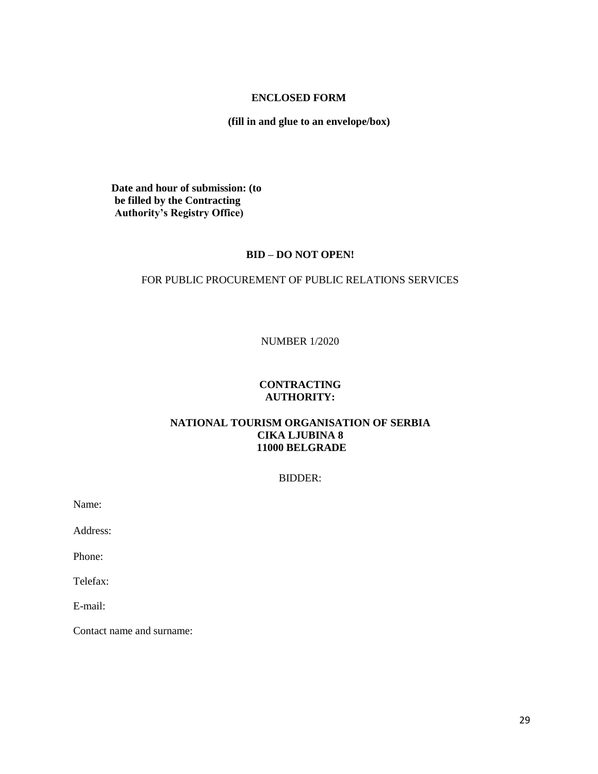# **ENCLOSED FORM**

**(fill in and glue to an envelope/box)**

**Date and hour of submission: (to be filled by the Contracting Authority's Registry Office)**

### **BID – DO NOT OPEN!**

## FOR PUBLIC PROCUREMENT OF PUBLIC RELATIONS SERVICES

NUMBER 1/2020

### **CONTRACTING AUTHORITY:**

### **NATIONAL TOURISM ORGANISATION OF SERBIA CIKA LJUBINA 8 11000 BELGRADE**

### BIDDER:

Name:

Address:

Phone:

Telefax:

E-mail:

Contact name and surname: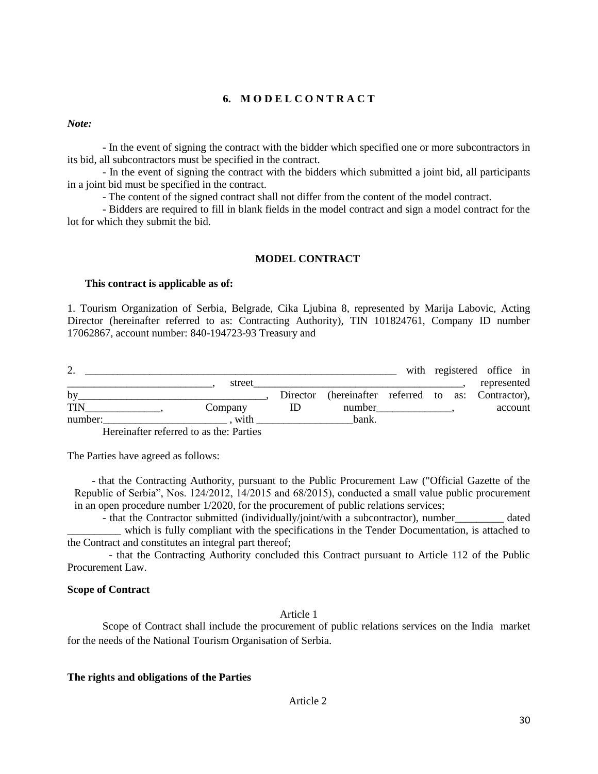# **6. М О D E L C O N T R A C T**

*Note:* 

- In the event of signing the contract with the bidder which specified one or more subcontractors in its bid, all subcontractors must be specified in the contract.

- In the event of signing the contract with the bidders which submitted a joint bid, all participants in a joint bid must be specified in the contract.

- The content of the signed contract shall not differ from the content of the model contract.

- Bidders are required to fill in blank fields in the model contract and sign a model contract for the lot for which they submit the bid.

### **MODEL CONTRACT**

#### **This contract is applicable as of:**

1. Tourism Organization of Serbia, Belgrade, Cika Ljubina 8, represented by Marija Labovic, Acting Director (hereinafter referred to as: Contracting Authority), TIN 101824761, Company ID number 17062867, account number: 840-194723-93 Treasury and

|            |                                           |                                                    |  | with registered office in |  |
|------------|-------------------------------------------|----------------------------------------------------|--|---------------------------|--|
|            | street                                    |                                                    |  | represented               |  |
| by         |                                           | Director (hereinafter referred to as: Contractor), |  |                           |  |
| <b>TIN</b> | Company                                   | number                                             |  | account                   |  |
| number:    | with                                      | bank.                                              |  |                           |  |
|            | $\sim$ $\sim$ $\sim$ $\sim$ $\sim$ $\sim$ |                                                    |  |                           |  |

Hereinafter referred to as the: Parties

The Parties have agreed as follows:

- that the Contracting Authority, pursuant to the Public Procurement Law ("Official Gazette of the Republic of Serbia", Nos. 124/2012, 14/2015 and 68/2015), conducted a small value public procurement in an open procedure number 1/2020, for the procurement of public relations services;

- that the Contractor submitted (individually/joint/with a subcontractor), number dated which is fully compliant with the specifications in the Tender Documentation, is attached to the Contract and constitutes an integral part thereof;

- that the Contracting Authority concluded this Contract pursuant to Article 112 of the Public Procurement Law.

### **Scope of Contract**

Article 1

Scope of Contract shall include the procurement of public relations services on the India market for the needs of the National Tourism Organisation of Serbia.

### **The rights and obligations of the Parties**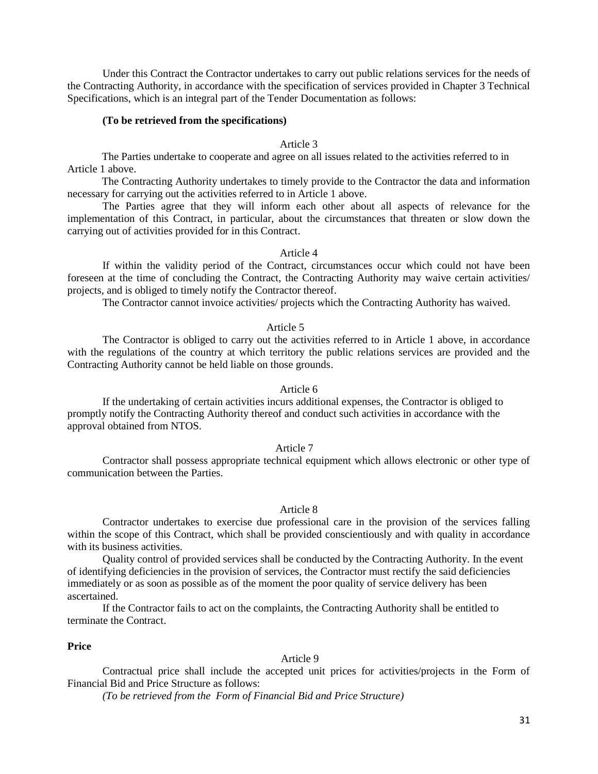Under this Contract the Contractor undertakes to carry out public relations services for the needs of the Contracting Authority, in accordance with the specification of services provided in Chapter 3 Technical Specifications, which is an integral part of the Tender Documentation as follows:

#### **(To be retrieved from the specifications)**

### Article 3

The Parties undertake to cooperate and agree on all issues related to the activities referred to in Article 1 above.

The Contracting Authority undertakes to timely provide to the Contractor the data and information necessary for carrying out the activities referred to in Article 1 above.

The Parties agree that they will inform each other about all aspects of relevance for the implementation of this Contract, in particular, about the circumstances that threaten or slow down the carrying out of activities provided for in this Contract.

#### Article 4

If within the validity period of the Contract, circumstances occur which could not have been foreseen at the time of concluding the Contract, the Contracting Authority may waive certain activities/ projects, and is obliged to timely notify the Contractor thereof.

The Contractor cannot invoice activities/ projects which the Contracting Authority has waived.

#### Article 5

The Contractor is obliged to carry out the activities referred to in Article 1 above, in accordance with the regulations of the country at which territory the public relations services are provided and the Contracting Authority cannot be held liable on those grounds.

### Article 6

If the undertaking of certain activities incurs additional expenses, the Contractor is obliged to promptly notify the Contracting Authority thereof and conduct such activities in accordance with the approval obtained from NTOS.

#### Article 7

Contractor shall possess appropriate technical equipment which allows electronic or other type of communication between the Parties.

#### Article 8

Contractor undertakes to exercise due professional care in the provision of the services falling within the scope of this Contract, which shall be provided conscientiously and with quality in accordance with its business activities.

Quality control of provided services shall be conducted by the Contracting Authority. In the event of identifying deficiencies in the provision of services, the Contractor must rectify the said deficiencies immediately or as soon as possible as of the moment the poor quality of service delivery has been ascertained.

If the Contractor fails to act on the complaints, the Contracting Authority shall be entitled to terminate the Contract.

# **Price**

### Article 9

Contractual price shall include the accepted unit prices for activities/projects in the Form of Financial Bid and Price Structure as follows:

*(To be retrieved from the Form of Financial Bid and Price Structure)*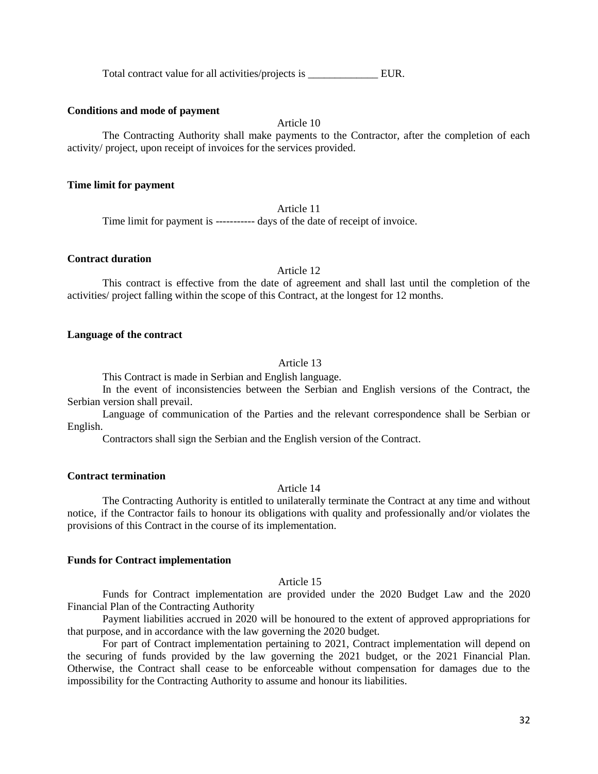Total contract value for all activities/projects is \_\_\_\_\_\_\_\_\_\_\_\_\_\_\_\_\_\_\_\_ EUR.

#### **Conditions and mode of payment**

Article 10

The Contracting Authority shall make payments to the Contractor, after the completion of each activity/ project, upon receipt of invoices for the services provided.

#### **Time limit for payment**

Article 11

Time limit for payment is ----------- days of the date of receipt of invoice.

### **Contract duration**

Article 12

This contract is effective from the date of agreement and shall last until the completion of the activities/ project falling within the scope of this Contract, at the longest for 12 months.

### **Language of the contract**

#### Article 13

This Contract is made in Serbian and English language.

In the event of inconsistencies between the Serbian and English versions of the Contract, the Serbian version shall prevail.

Language of communication of the Parties and the relevant correspondence shall be Serbian or English.

Contractors shall sign the Serbian and the English version of the Contract.

### **Contract termination**

Article 14

The Contracting Authority is entitled to unilaterally terminate the Contract at any time and without notice, if the Contractor fails to honour its obligations with quality and professionally and/or violates the provisions of this Contract in the course of its implementation.

#### **Funds for Contract implementation**

### Article 15

Funds for Contract implementation are provided under the 2020 Budget Law and the 2020 Financial Plan of the Contracting Authority

Payment liabilities accrued in 2020 will be honoured to the extent of approved appropriations for that purpose, and in accordance with the law governing the 2020 budget.

For part of Contract implementation pertaining to 2021, Contract implementation will depend on the securing of funds provided by the law governing the 2021 budget, or the 2021 Financial Plan. Otherwise, the Contract shall cease to be enforceable without compensation for damages due to the impossibility for the Contracting Authority to assume and honour its liabilities.